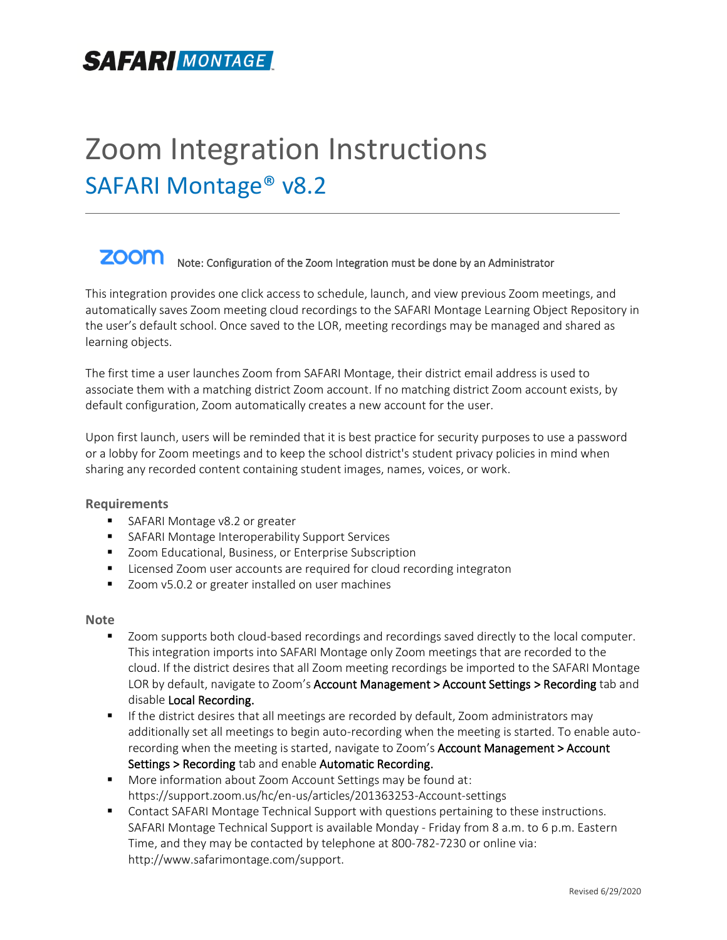# Zoom Integration Instructions SAFARI Montage® v8.2

#### **ZOOM** Note: Configuration of the Zoom Integration must be done by an Administrator

This integration provides one click access to schedule, launch, and view previous Zoom meetings, and automatically saves Zoom meeting cloud recordings to the SAFARI Montage Learning Object Repository in the user's default school. Once saved to the LOR, meeting recordings may be managed and shared as learning objects.

The first time a user launches Zoom from SAFARI Montage, their district email address is used to associate them with a matching district Zoom account. If no matching district Zoom account exists, by default configuration, Zoom automatically creates a new account for the user.

Upon first launch, users will be reminded that it is best practice for security purposes to use a password or a lobby for Zoom meetings and to keep the school district's student privacy policies in mind when sharing any recorded content containing student images, names, voices, or work.

#### **Requirements**

- SAFARI Montage v8.2 or greater
- SAFARI Montage Interoperability Support Services
- Zoom Educational, Business, or Enterprise Subscription
- Licensed Zoom user accounts are required for cloud recording integraton
- Zoom v5.0.2 or greater installed on user machines

#### **Note**

- Zoom supports both cloud-based recordings and recordings saved directly to the local computer. This integration imports into SAFARI Montage only Zoom meetings that are recorded to the cloud. If the district desires that all Zoom meeting recordings be imported to the SAFARI Montage LOR by default, navigate to Zoom's Account Management > Account Settings > Recording tab and disable Local Recording.
- **■** If the district desires that all meetings are recorded by default, Zoom administrators may additionally set all meetings to begin auto-recording when the meeting is started. To enable autorecording when the meeting is started, navigate to Zoom's Account Management > Account Settings > Recording tab and enable Automatic Recording.
- More information about Zoom Account Settings may be found at: https://support.zoom.us/hc/en-us/articles/201363253-Account-settings
- Contact SAFARI Montage Technical Support with questions pertaining to these instructions. SAFARI Montage Technical Support is available Monday - Friday from 8 a.m. to 6 p.m. Eastern Time, and they may be contacted by telephone at 800-782-7230 or online via: [http://www.safarimontage.com/support.](http://www.safarimontage.com/support)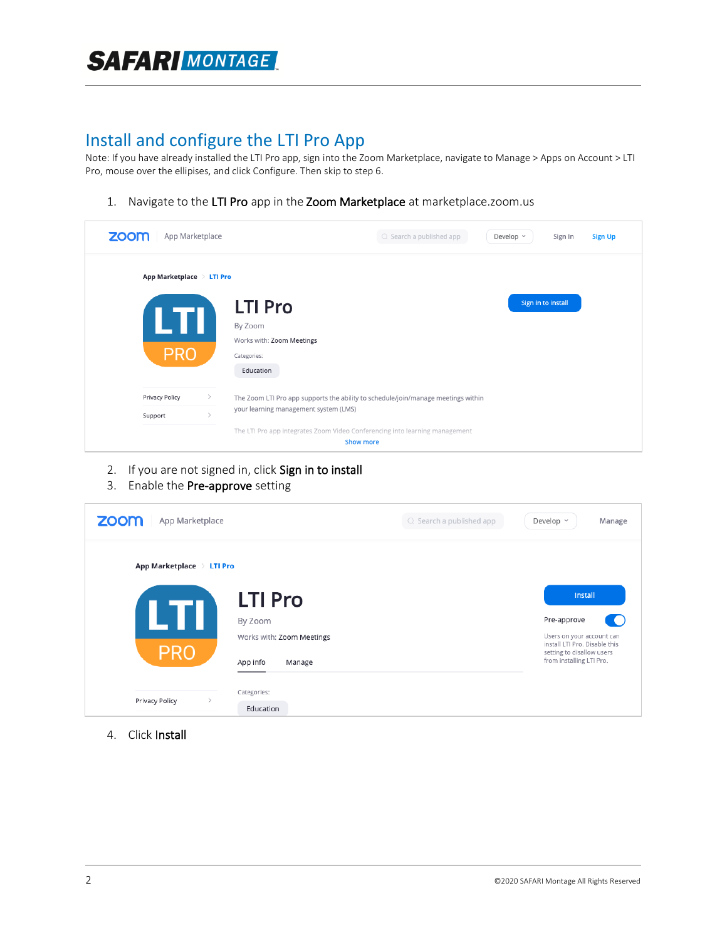## **SAFAR MONTAGE**

## Install and configure the LTI Pro App

Note: If you have already installed the LTI Pro app, sign into the Zoom Marketplace, navigate to Manage > Apps on Account > LTI Pro, mouse over the ellipises, and click Configure. Then skip to step 6.

1. Navigate to the LTI Pro app in the Zoom Marketplace at marketplace.zoom.us

| zoom                      | App Marketplace                |                                                                                                                            | Q Search a published app | Develop ~          | <b>Sign Up</b><br>Sign In |
|---------------------------|--------------------------------|----------------------------------------------------------------------------------------------------------------------------|--------------------------|--------------------|---------------------------|
| App Marketplace > LTI Pro |                                |                                                                                                                            |                          |                    |                           |
| LTI<br><b>PRO</b>         |                                | <b>LTI Pro</b><br>By Zoom<br>Works with: Zoom Meetings<br>Categories:<br>Education                                         |                          | Sign in to install |                           |
| Privacy Policy<br>Support | $\rightarrow$<br>$\rightarrow$ | The Zoom LTI Pro app supports the ability to schedule/join/manage meetings within<br>your learning management system (LMS) |                          |                    |                           |
|                           |                                | The LTI Pro app integrates Zoom Video Conferencing into learning management<br><b>Show more</b>                            |                          |                    |                           |

- 2. If you are not signed in, click Sign in to install
- 3. Enable the Pre-approve setting

| zoom<br>App Marketplace   |                                                            | $Q$ Search a published app<br>Develop ~<br>Manage                                                                                  |  |
|---------------------------|------------------------------------------------------------|------------------------------------------------------------------------------------------------------------------------------------|--|
| App Marketplace > LTI Pro | <b>LTI Pro</b>                                             | Install                                                                                                                            |  |
| IТ<br><b>PRO</b>          | By Zoom<br>Works with: Zoom Meetings<br>App info<br>Manage | Pre-approve<br>Users on your account can<br>install LTI Pro. Disable this<br>setting to disallow users<br>from installing LTI Pro. |  |
| Privacy Policy            | Categories:<br>Education                                   |                                                                                                                                    |  |

4. Click Install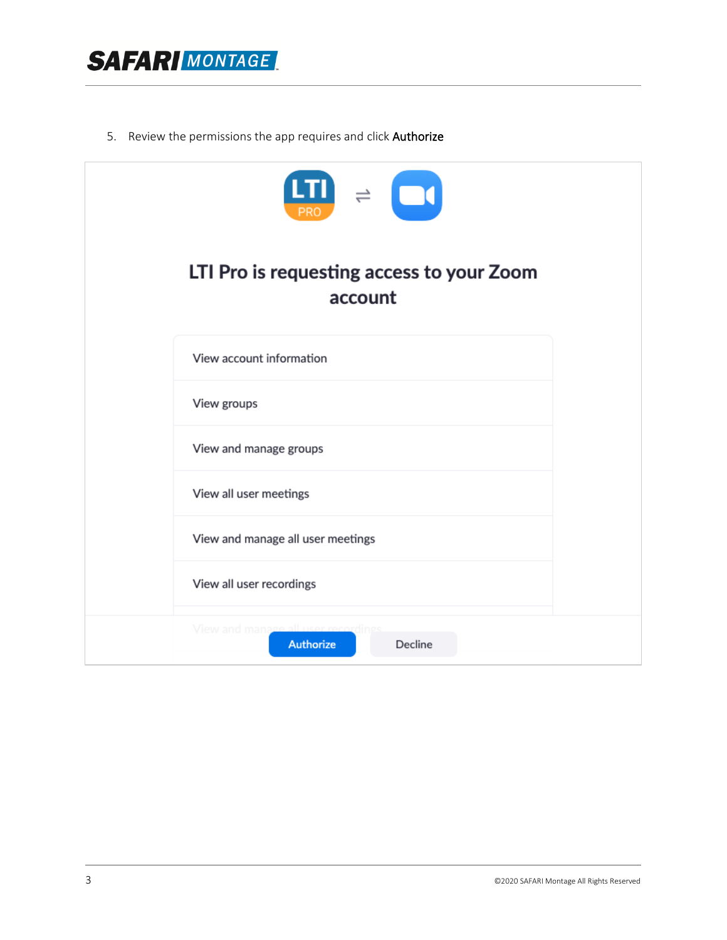

5. Review the permissions the app requires and click Authorize

| $\boxed{\mathbf{LTI}}$ $\Rightarrow$ $\boxed{\bullet}$ |
|--------------------------------------------------------|
| LTI Pro is requesting access to your Zoom<br>account   |
| View account information                               |
| View groups                                            |
| View and manage groups                                 |
| View all user meetings                                 |
| View and manage all user meetings                      |
| View all user recordings                               |
| View and mana<br>Authorize<br>Decline                  |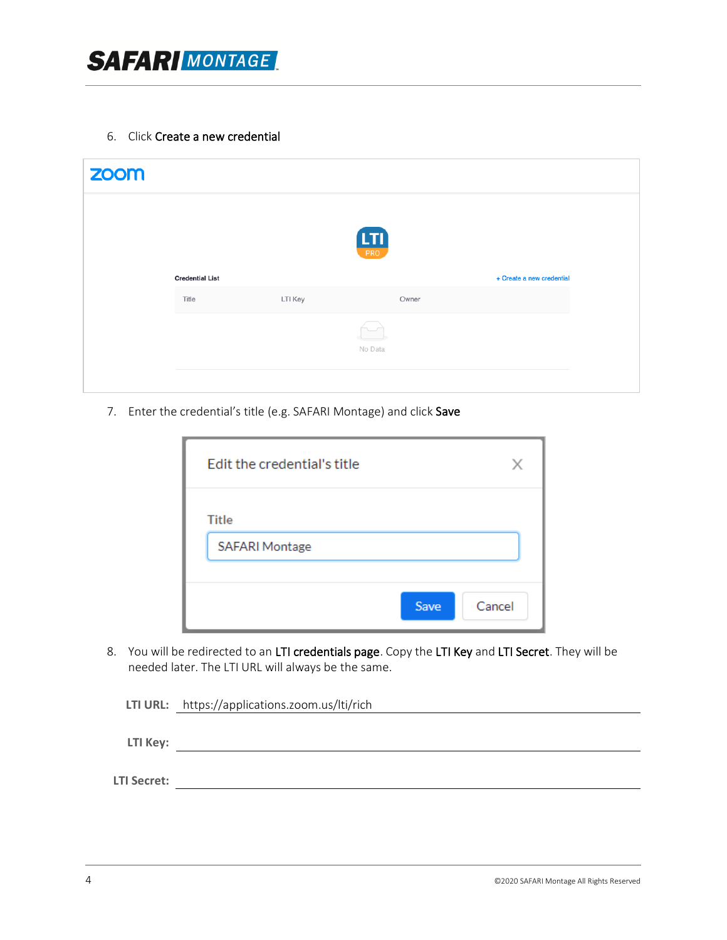

6. Click Create a new credential

| zoom |                        |         |               |                           |
|------|------------------------|---------|---------------|---------------------------|
|      |                        |         |               |                           |
|      |                        |         | $\frac{1}{1}$ |                           |
|      | <b>Credential List</b> |         |               | + Create a new credential |
|      | Title                  | LTI Key | Owner         |                           |
|      |                        |         | 匸             |                           |
|      |                        |         | No Data       |                           |
|      |                        |         |               |                           |

7. Enter the credential's title (e.g. SAFARI Montage) and click Save

| Edit the credential's title           |                |
|---------------------------------------|----------------|
| <b>Title</b><br><b>SAFARI Montage</b> |                |
|                                       | Cancel<br>Save |

8. You will be redirected to an LTI credentials page. Copy the LTI Key and LTI Secret. They will be needed later. The LTI URL will always be the same.

|                    | LTI URL: https://applications.zoom.us/lti/rich |
|--------------------|------------------------------------------------|
|                    |                                                |
| LTI Key:           |                                                |
|                    |                                                |
| <b>LTI Secret:</b> |                                                |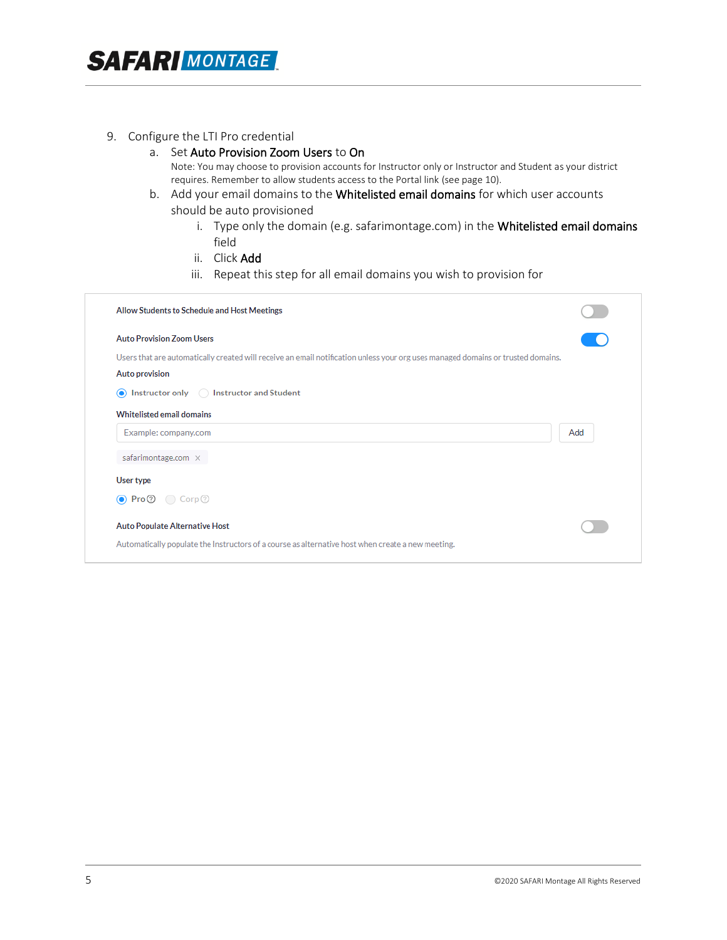#### 9. Configure the LTI Pro credential

- a. Set Auto Provision Zoom Users to On Note: You may choose to provision accounts for Instructor only or Instructor and Student as your district requires. Remember to allow students access to the Portal link (see page 10).
- b. Add your email domains to the Whitelisted email domains for which user accounts should be auto provisioned
	- i. Type only the domain (e.g. safarimontage.com) in the Whitelisted email domains field
	- ii. Click Add
	- iii. Repeat this step for all email domains you wish to provision for

| <b>Auto Provision Zoom Users</b><br>Users that are automatically created will receive an email notification unless your org uses managed domains or trusted domains.<br>Auto provision<br>$\bigcirc$ Instructor only $\bigcirc$ Instructor and Student<br><b>Whitelisted email domains</b><br>Add<br>Example: company.com<br>safarimontage.com ×<br>User type<br>$\bullet$ Pro $\odot$ Corp $\odot$ | Allow Students to Schedule and Host Meetings |  |
|-----------------------------------------------------------------------------------------------------------------------------------------------------------------------------------------------------------------------------------------------------------------------------------------------------------------------------------------------------------------------------------------------------|----------------------------------------------|--|
|                                                                                                                                                                                                                                                                                                                                                                                                     |                                              |  |
|                                                                                                                                                                                                                                                                                                                                                                                                     |                                              |  |
|                                                                                                                                                                                                                                                                                                                                                                                                     |                                              |  |
|                                                                                                                                                                                                                                                                                                                                                                                                     |                                              |  |
|                                                                                                                                                                                                                                                                                                                                                                                                     |                                              |  |
|                                                                                                                                                                                                                                                                                                                                                                                                     |                                              |  |
|                                                                                                                                                                                                                                                                                                                                                                                                     |                                              |  |
|                                                                                                                                                                                                                                                                                                                                                                                                     |                                              |  |
|                                                                                                                                                                                                                                                                                                                                                                                                     |                                              |  |
| Auto Populate Alternative Host                                                                                                                                                                                                                                                                                                                                                                      |                                              |  |
| Automatically populate the Instructors of a course as alternative host when create a new meeting.                                                                                                                                                                                                                                                                                                   |                                              |  |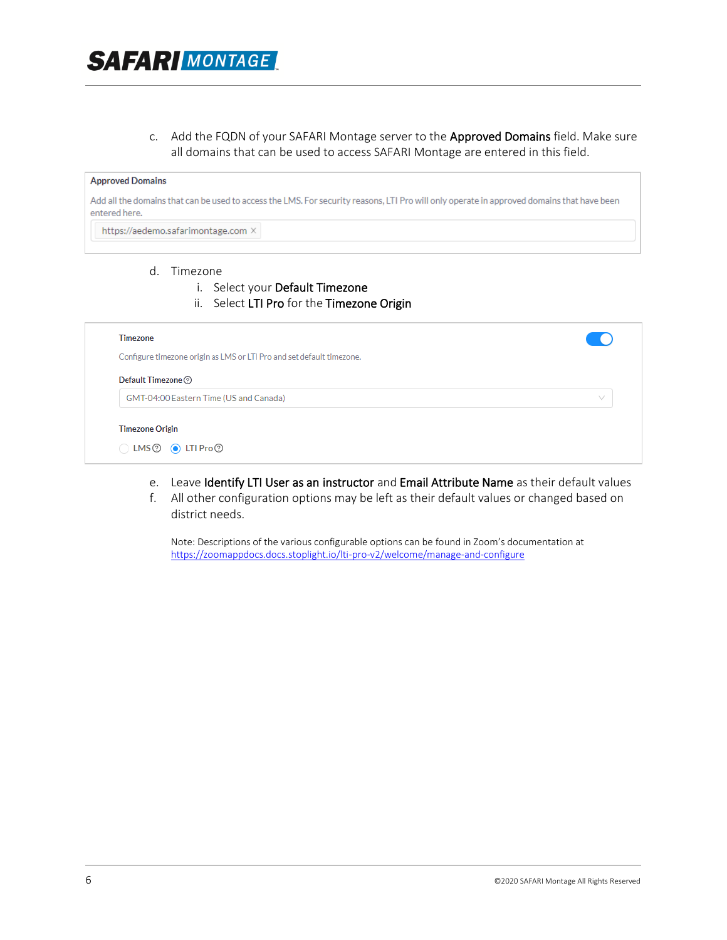#### c. Add the FQDN of your SAFARI Montage server to the Approved Domains field. Make sure all domains that can be used to access SAFARI Montage are entered in this field.

#### **Approved Domains**

Add all the domains that can be used to access the LMS. For security reasons, LTI Pro will only operate in approved domains that have been entered here.

https://aedemo.safarimontage.com ×

#### d. Timezone

- i. Select your Default Timezone
- ii. Select LTI Pro for the Timezone Origin

| Timezone                                                              |            |
|-----------------------------------------------------------------------|------------|
| Configure timezone origin as LMS or LTI Pro and set default timezone. |            |
| Default Timezone <sup>7</sup>                                         |            |
| GMT-04:00 Eastern Time (US and Canada)                                | $\searrow$ |
| <b>Timezone Origin</b>                                                |            |
| $\bigcirc$ LMS $\circledcirc$ $\bullet$ LTI Pro $\circledcirc$        |            |

- e. Leave Identify LTI User as an instructor and Email Attribute Name as their default values
- f. All other configuration options may be left as their default values or changed based on district needs.

Note: Descriptions of the various configurable options can be found in Zoom's documentation at <https://zoomappdocs.docs.stoplight.io/lti-pro-v2/welcome/manage-and-configure>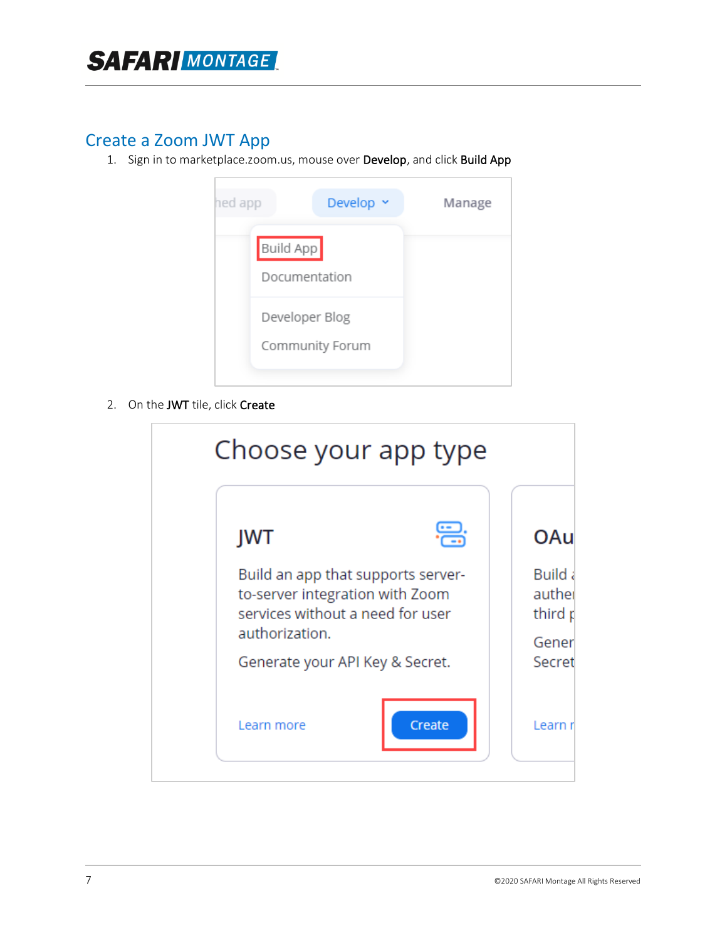## Create a Zoom JWT App

1. Sign in to marketplace.zoom.us, mouse over Develop, and click Build App

| hed app   | Develop ~       | Manage |
|-----------|-----------------|--------|
| Build App | Documentation   |        |
|           | Developer Blog  |        |
|           | Community Forum |        |

2. On the JWT tile, click Create

| Build an app that supports server-<br>to-server integration with Zoom<br>services without a need for user<br>authorization.<br>Generate your API Key & Secret. | <b>JWT</b> | OAu                                 |
|----------------------------------------------------------------------------------------------------------------------------------------------------------------|------------|-------------------------------------|
|                                                                                                                                                                |            | <b>Build a</b><br>auther<br>third p |
|                                                                                                                                                                |            | Gener<br>Secret                     |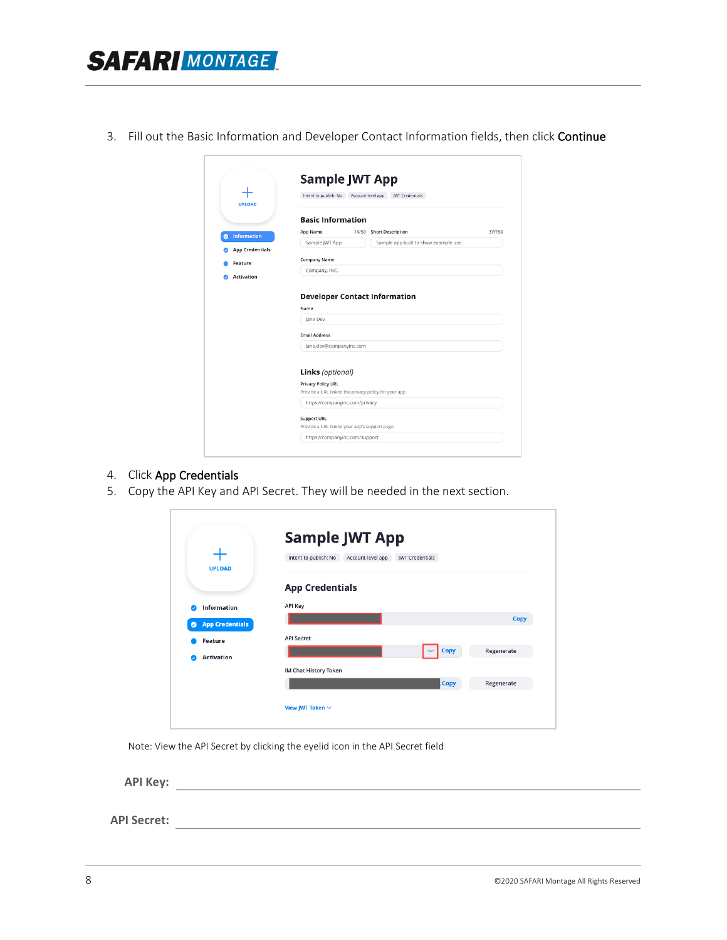3. Fill out the Basic Information and Developer Contact Information fields, then click Continue

| <b>UPLOAD</b>           | Intent to publish: No Account-level app JWT Credentials                     |
|-------------------------|-----------------------------------------------------------------------------|
|                         | <b>Basic Information</b>                                                    |
| <b>Information</b><br>ø | <b>Short Description</b><br>37/150<br>App Name<br>14/50                     |
|                         | Sample JWT App<br>Sample app built to show example use.                     |
| <b>App Credentials</b>  |                                                                             |
| Feature                 | <b>Company Name</b>                                                         |
| <b>Activation</b>       | Company, INC.                                                               |
|                         | <b>Developer Contact Information</b><br>Name<br>lane Dev                    |
|                         |                                                                             |
|                         | <b>Email Address</b>                                                        |
|                         | jane.dev@companyinc.com                                                     |
|                         | Links (optional)                                                            |
|                         | Privacy Policy URL<br>Provide a URL link to the privacy policy for your app |
|                         | https://companyinc.com/privacy                                              |
|                         | <b>Support URL</b>                                                          |

- 4. Click App Credentials
- 5. Copy the API Key and API Secret. They will be needed in the next section.

|                                     | <b>Sample JWT App</b><br>Intent to publish: No<br>Account-level app<br><b>IWT Credentials</b> |            |
|-------------------------------------|-----------------------------------------------------------------------------------------------|------------|
| <b>UPLOAD</b>                       | <b>App Credentials</b>                                                                        |            |
| Information                         | API Key                                                                                       |            |
| <b>App Credentials</b><br>$\bullet$ |                                                                                               | Copy       |
| <b>Feature</b>                      | <b>API Secret</b>                                                                             |            |
| <b>Activation</b><br>ø              | <b>Copy</b>                                                                                   | Regenerate |
|                                     | IM Chat History Token                                                                         |            |
|                                     | .Copy                                                                                         | Regenerate |
|                                     | View JWT Token $\sim$                                                                         |            |

Note: View the API Secret by clicking the eyelid icon in the API Secret field

**API Key:**

**API Secret:**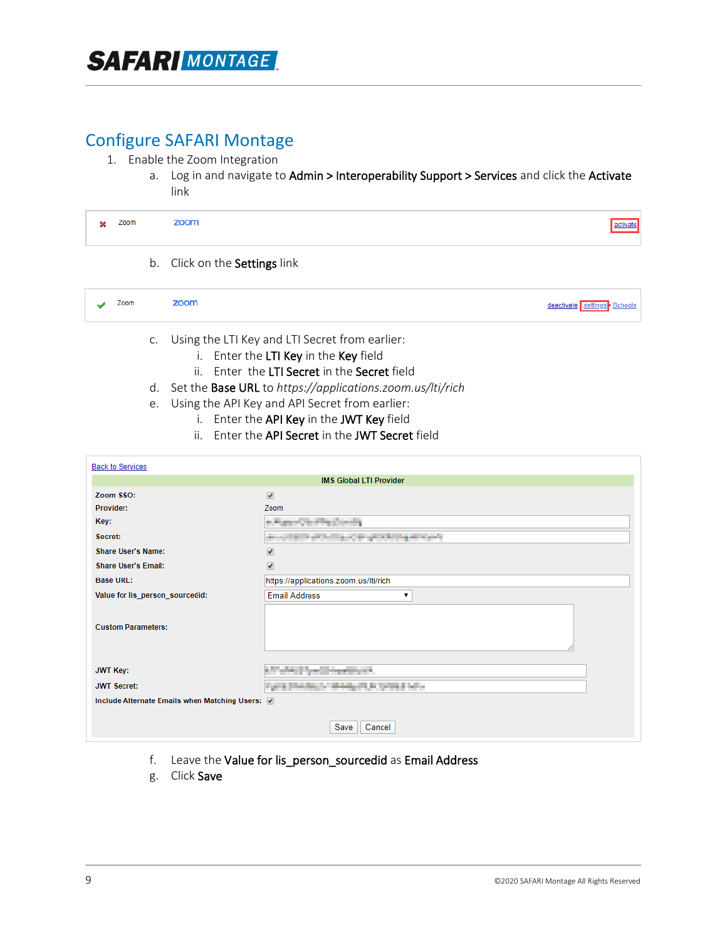### Configure SAFARI Montage

- 1. Enable the Zoom Integration
	- a. Log in and navigate to Admin > Interoperability Support > Services and click the Activate link

| om<br>Zoom<br>. . |  |
|-------------------|--|
|-------------------|--|

b. Click on the Settings link

| zoom<br>Zoom<br>deactivate settings Schools |
|---------------------------------------------|
|---------------------------------------------|

- c. Using the LTI Key and LTI Secret from earlier:
	- i. Enter the LTI Key in the Key field
	- ii. Enter the LTI Secret in the Secret field
- d. Set the Base URL to *https://applications.zoom.us/lti/rich*
- e. Using the API Key and API Secret from earlier:
	- i. Enter the API Key in the JWT Key field
	- ii. Enter the API Secret in the JWT Secret field

| <b>Back to Services</b>                         |                                                            |  |  |  |  |  |
|-------------------------------------------------|------------------------------------------------------------|--|--|--|--|--|
| <b>IMS Global LTI Provider</b>                  |                                                            |  |  |  |  |  |
| Zoom SSO:                                       | $\overline{\mathcal{L}}$                                   |  |  |  |  |  |
| Provider:                                       | Zoom                                                       |  |  |  |  |  |
| Key:                                            | <b><i><i><u><b>Deputation Construction</b></u></i></i></b> |  |  |  |  |  |
| Secret:                                         | the production and product in the product                  |  |  |  |  |  |
| <b>Share User's Name:</b>                       | $\overline{\mathcal{F}}$                                   |  |  |  |  |  |
| <b>Share User's Email:</b>                      | $\overline{\mathcal{L}}$                                   |  |  |  |  |  |
| <b>Base URL:</b>                                | https://applications.zoom.us/lti/rich                      |  |  |  |  |  |
| Value for lis_person_sourcedid:                 | <b>Email Address</b><br>7                                  |  |  |  |  |  |
| <b>Custom Parameters:</b>                       |                                                            |  |  |  |  |  |
| <b>JWT Key:</b>                                 | www.file.com/programme.com                                 |  |  |  |  |  |
| <b>JWT Secret:</b>                              | and a statement in the first of the                        |  |  |  |  |  |
| Include Alternate Emails when Matching Users: 7 |                                                            |  |  |  |  |  |
| Cancel<br>Save                                  |                                                            |  |  |  |  |  |

- f. Leave the Value for lis\_person\_sourcedid as Email Address
- g. Click Save